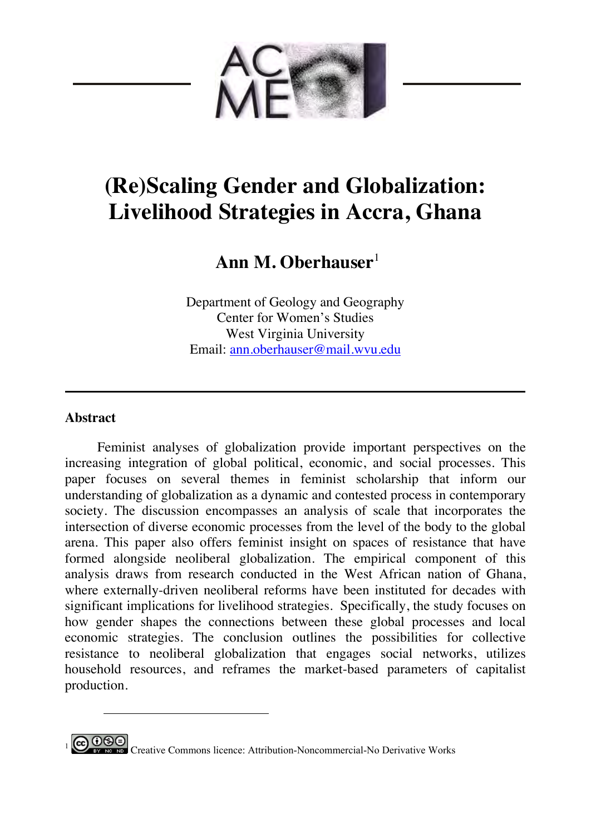

# **(Re)Scaling Gender and Globalization: Livelihood Strategies in Accra, Ghana**

## **Ann M. Oberhauser**<sup>1</sup>

Department of Geology and Geography Center for Women's Studies West Virginia University Email: ann.oberhauser@mail.wvu.edu

### **Abstract**

 $\overline{a}$ 

Feminist analyses of globalization provide important perspectives on the increasing integration of global political, economic, and social processes. This paper focuses on several themes in feminist scholarship that inform our understanding of globalization as a dynamic and contested process in contemporary society. The discussion encompasses an analysis of scale that incorporates the intersection of diverse economic processes from the level of the body to the global arena. This paper also offers feminist insight on spaces of resistance that have formed alongside neoliberal globalization. The empirical component of this analysis draws from research conducted in the West African nation of Ghana, where externally-driven neoliberal reforms have been instituted for decades with significant implications for livelihood strategies. Specifically, the study focuses on how gender shapes the connections between these global processes and local economic strategies. The conclusion outlines the possibilities for collective resistance to neoliberal globalization that engages social networks, utilizes household resources, and reframes the market-based parameters of capitalist production.

**CO OSE**<br>**1** Creative Commons licence: Attribution-Noncommercial-No Derivative Works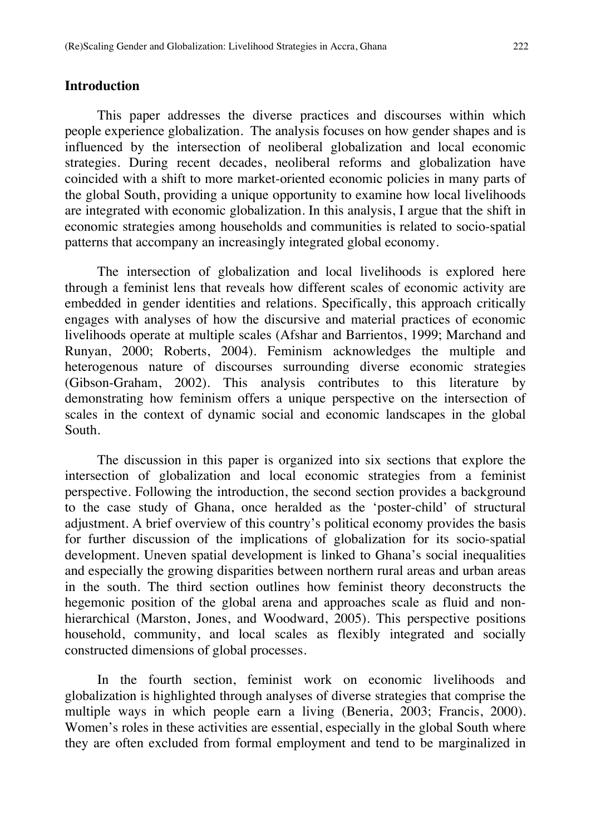#### **Introduction**

This paper addresses the diverse practices and discourses within which people experience globalization. The analysis focuses on how gender shapes and is influenced by the intersection of neoliberal globalization and local economic strategies. During recent decades, neoliberal reforms and globalization have coincided with a shift to more market-oriented economic policies in many parts of the global South, providing a unique opportunity to examine how local livelihoods are integrated with economic globalization. In this analysis, I argue that the shift in economic strategies among households and communities is related to socio-spatial patterns that accompany an increasingly integrated global economy.

The intersection of globalization and local livelihoods is explored here through a feminist lens that reveals how different scales of economic activity are embedded in gender identities and relations. Specifically, this approach critically engages with analyses of how the discursive and material practices of economic livelihoods operate at multiple scales (Afshar and Barrientos, 1999; Marchand and Runyan, 2000; Roberts, 2004). Feminism acknowledges the multiple and heterogenous nature of discourses surrounding diverse economic strategies (Gibson-Graham, 2002). This analysis contributes to this literature by demonstrating how feminism offers a unique perspective on the intersection of scales in the context of dynamic social and economic landscapes in the global South.

The discussion in this paper is organized into six sections that explore the intersection of globalization and local economic strategies from a feminist perspective. Following the introduction, the second section provides a background to the case study of Ghana, once heralded as the 'poster-child' of structural adjustment. A brief overview of this country's political economy provides the basis for further discussion of the implications of globalization for its socio-spatial development. Uneven spatial development is linked to Ghana's social inequalities and especially the growing disparities between northern rural areas and urban areas in the south. The third section outlines how feminist theory deconstructs the hegemonic position of the global arena and approaches scale as fluid and nonhierarchical (Marston, Jones, and Woodward, 2005). This perspective positions household, community, and local scales as flexibly integrated and socially constructed dimensions of global processes.

In the fourth section, feminist work on economic livelihoods and globalization is highlighted through analyses of diverse strategies that comprise the multiple ways in which people earn a living (Beneria, 2003; Francis, 2000). Women's roles in these activities are essential, especially in the global South where they are often excluded from formal employment and tend to be marginalized in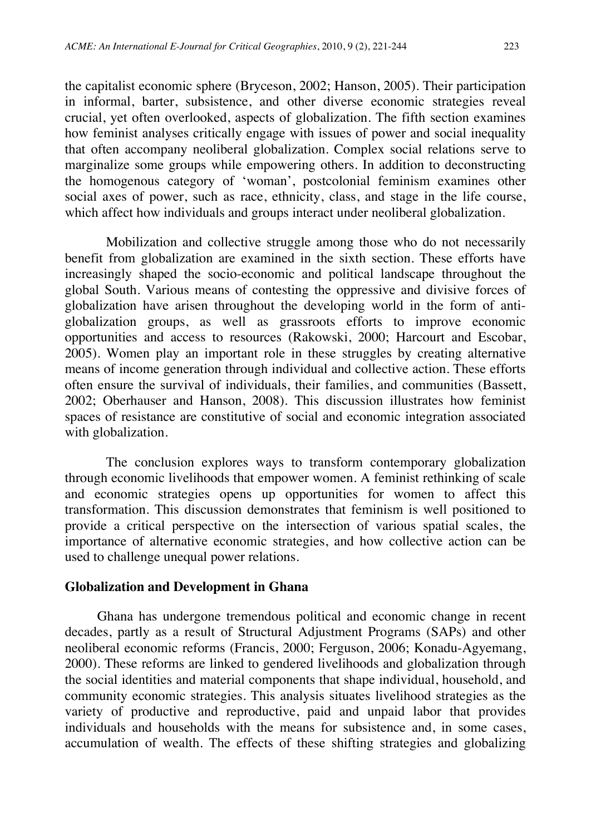the capitalist economic sphere (Bryceson, 2002; Hanson, 2005). Their participation in informal, barter, subsistence, and other diverse economic strategies reveal crucial, yet often overlooked, aspects of globalization. The fifth section examines how feminist analyses critically engage with issues of power and social inequality that often accompany neoliberal globalization. Complex social relations serve to marginalize some groups while empowering others. In addition to deconstructing the homogenous category of 'woman', postcolonial feminism examines other social axes of power, such as race, ethnicity, class, and stage in the life course, which affect how individuals and groups interact under neoliberal globalization.

Mobilization and collective struggle among those who do not necessarily benefit from globalization are examined in the sixth section. These efforts have increasingly shaped the socio-economic and political landscape throughout the global South. Various means of contesting the oppressive and divisive forces of globalization have arisen throughout the developing world in the form of antiglobalization groups, as well as grassroots efforts to improve economic opportunities and access to resources (Rakowski, 2000; Harcourt and Escobar, 2005). Women play an important role in these struggles by creating alternative means of income generation through individual and collective action. These efforts often ensure the survival of individuals, their families, and communities (Bassett, 2002; Oberhauser and Hanson, 2008). This discussion illustrates how feminist spaces of resistance are constitutive of social and economic integration associated with globalization.

The conclusion explores ways to transform contemporary globalization through economic livelihoods that empower women. A feminist rethinking of scale and economic strategies opens up opportunities for women to affect this transformation. This discussion demonstrates that feminism is well positioned to provide a critical perspective on the intersection of various spatial scales, the importance of alternative economic strategies, and how collective action can be used to challenge unequal power relations.

#### **Globalization and Development in Ghana**

Ghana has undergone tremendous political and economic change in recent decades, partly as a result of Structural Adjustment Programs (SAPs) and other neoliberal economic reforms (Francis, 2000; Ferguson, 2006; Konadu-Agyemang, 2000). These reforms are linked to gendered livelihoods and globalization through the social identities and material components that shape individual, household, and community economic strategies. This analysis situates livelihood strategies as the variety of productive and reproductive, paid and unpaid labor that provides individuals and households with the means for subsistence and, in some cases, accumulation of wealth. The effects of these shifting strategies and globalizing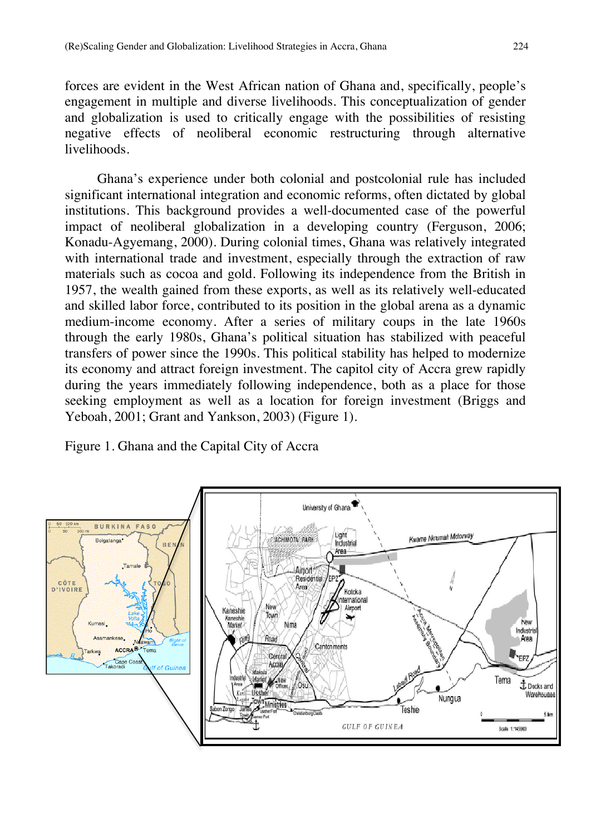forces are evident in the West African nation of Ghana and, specifically, people's engagement in multiple and diverse livelihoods. This conceptualization of gender and globalization is used to critically engage with the possibilities of resisting negative effects of neoliberal economic restructuring through alternative livelihoods.

Ghana's experience under both colonial and postcolonial rule has included significant international integration and economic reforms, often dictated by global institutions. This background provides a well-documented case of the powerful impact of neoliberal globalization in a developing country (Ferguson, 2006; Konadu-Agyemang, 2000). During colonial times, Ghana was relatively integrated with international trade and investment, especially through the extraction of raw materials such as cocoa and gold. Following its independence from the British in 1957, the wealth gained from these exports, as well as its relatively well-educated and skilled labor force, contributed to its position in the global arena as a dynamic medium-income economy. After a series of military coups in the late 1960s through the early 1980s, Ghana's political situation has stabilized with peaceful transfers of power since the 1990s. This political stability has helped to modernize its economy and attract foreign investment. The capitol city of Accra grew rapidly during the years immediately following independence, both as a place for those seeking employment as well as a location for foreign investment (Briggs and Yeboah, 2001; Grant and Yankson, 2003) (Figure 1).

Figure 1. Ghana and the Capital City of Accra

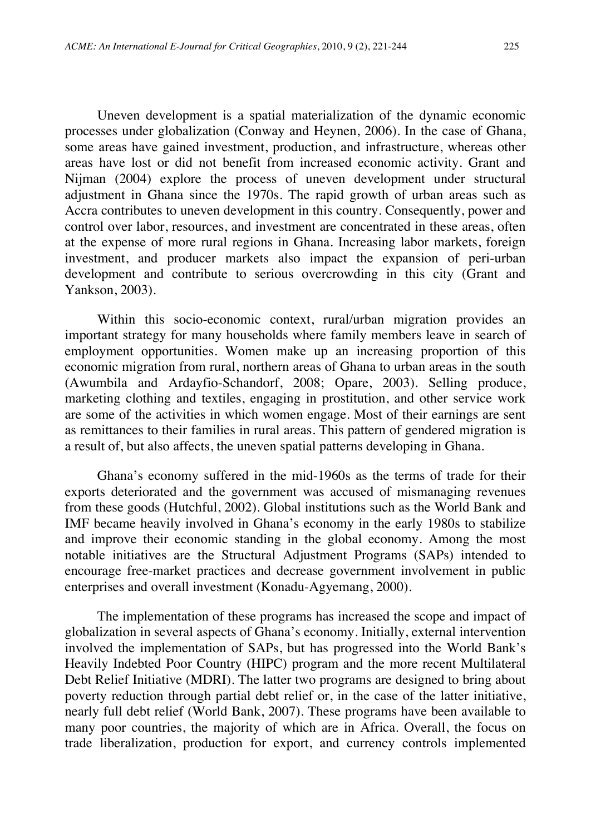Uneven development is a spatial materialization of the dynamic economic processes under globalization (Conway and Heynen, 2006). In the case of Ghana, some areas have gained investment, production, and infrastructure, whereas other areas have lost or did not benefit from increased economic activity. Grant and Nijman (2004) explore the process of uneven development under structural adjustment in Ghana since the 1970s. The rapid growth of urban areas such as Accra contributes to uneven development in this country. Consequently, power and control over labor, resources, and investment are concentrated in these areas, often at the expense of more rural regions in Ghana. Increasing labor markets, foreign investment, and producer markets also impact the expansion of peri-urban development and contribute to serious overcrowding in this city (Grant and Yankson, 2003).

Within this socio-economic context, rural/urban migration provides an important strategy for many households where family members leave in search of employment opportunities. Women make up an increasing proportion of this economic migration from rural, northern areas of Ghana to urban areas in the south (Awumbila and Ardayfio-Schandorf, 2008; Opare, 2003). Selling produce, marketing clothing and textiles, engaging in prostitution, and other service work are some of the activities in which women engage. Most of their earnings are sent as remittances to their families in rural areas. This pattern of gendered migration is a result of, but also affects, the uneven spatial patterns developing in Ghana.

Ghana's economy suffered in the mid-1960s as the terms of trade for their exports deteriorated and the government was accused of mismanaging revenues from these goods (Hutchful, 2002). Global institutions such as the World Bank and IMF became heavily involved in Ghana's economy in the early 1980s to stabilize and improve their economic standing in the global economy. Among the most notable initiatives are the Structural Adjustment Programs (SAPs) intended to encourage free-market practices and decrease government involvement in public enterprises and overall investment (Konadu-Agyemang, 2000).

The implementation of these programs has increased the scope and impact of globalization in several aspects of Ghana's economy. Initially, external intervention involved the implementation of SAPs, but has progressed into the World Bank's Heavily Indebted Poor Country (HIPC) program and the more recent Multilateral Debt Relief Initiative (MDRI). The latter two programs are designed to bring about poverty reduction through partial debt relief or, in the case of the latter initiative, nearly full debt relief (World Bank, 2007). These programs have been available to many poor countries, the majority of which are in Africa. Overall, the focus on trade liberalization, production for export, and currency controls implemented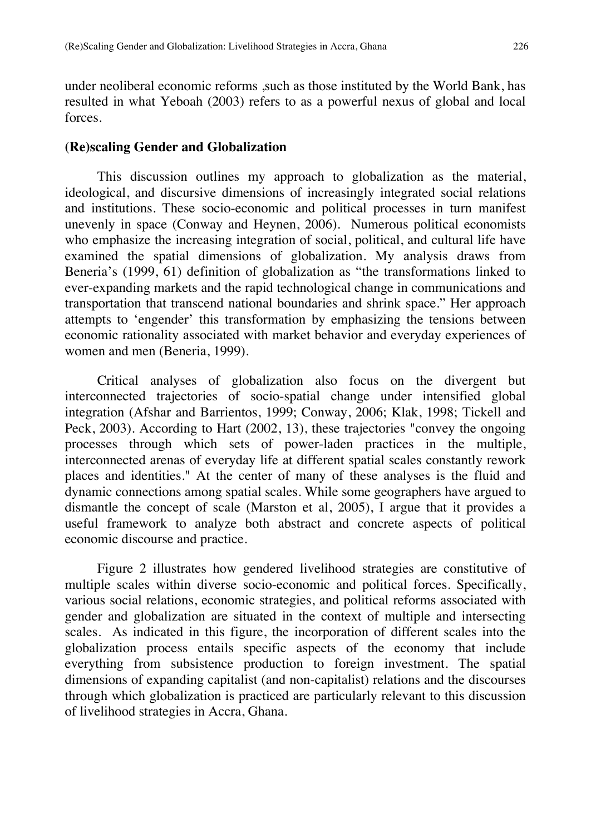under neoliberal economic reforms ,such as those instituted by the World Bank, has resulted in what Yeboah (2003) refers to as a powerful nexus of global and local forces.

#### **(Re)scaling Gender and Globalization**

This discussion outlines my approach to globalization as the material, ideological, and discursive dimensions of increasingly integrated social relations and institutions. These socio-economic and political processes in turn manifest unevenly in space (Conway and Heynen, 2006). Numerous political economists who emphasize the increasing integration of social, political, and cultural life have examined the spatial dimensions of globalization. My analysis draws from Beneria's (1999, 61) definition of globalization as "the transformations linked to ever-expanding markets and the rapid technological change in communications and transportation that transcend national boundaries and shrink space." Her approach attempts to 'engender' this transformation by emphasizing the tensions between economic rationality associated with market behavior and everyday experiences of women and men (Beneria, 1999).

Critical analyses of globalization also focus on the divergent but interconnected trajectories of socio-spatial change under intensified global integration (Afshar and Barrientos, 1999; Conway, 2006; Klak, 1998; Tickell and Peck, 2003). According to Hart (2002, 13), these trajectories "convey the ongoing processes through which sets of power-laden practices in the multiple, interconnected arenas of everyday life at different spatial scales constantly rework places and identities." At the center of many of these analyses is the fluid and dynamic connections among spatial scales. While some geographers have argued to dismantle the concept of scale (Marston et al, 2005), I argue that it provides a useful framework to analyze both abstract and concrete aspects of political economic discourse and practice.

Figure 2 illustrates how gendered livelihood strategies are constitutive of multiple scales within diverse socio-economic and political forces. Specifically, various social relations, economic strategies, and political reforms associated with gender and globalization are situated in the context of multiple and intersecting scales. As indicated in this figure, the incorporation of different scales into the globalization process entails specific aspects of the economy that include everything from subsistence production to foreign investment. The spatial dimensions of expanding capitalist (and non-capitalist) relations and the discourses through which globalization is practiced are particularly relevant to this discussion of livelihood strategies in Accra, Ghana.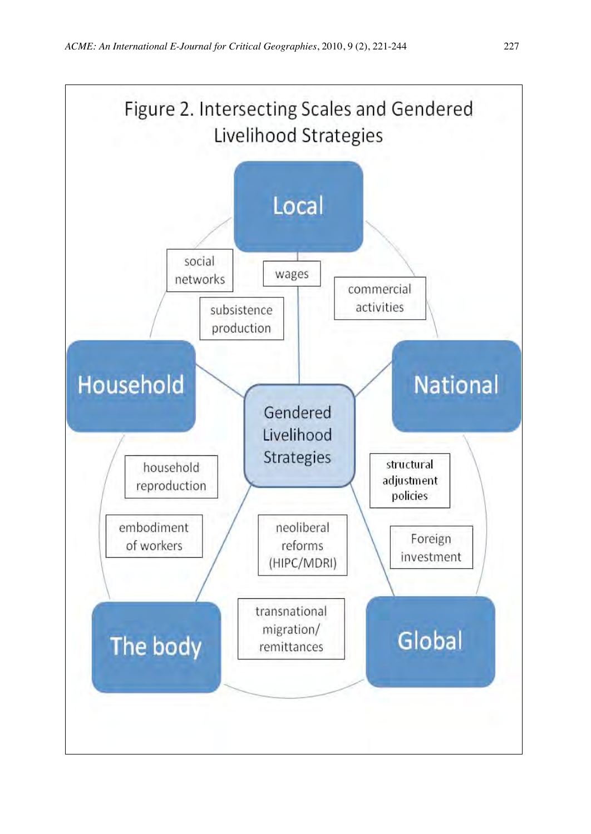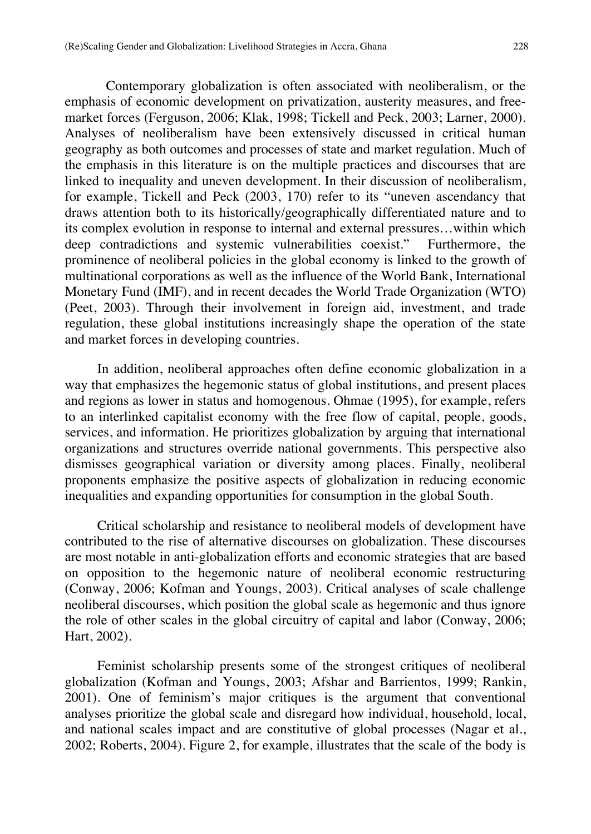Contemporary globalization is often associated with neoliberalism, or the emphasis of economic development on privatization, austerity measures, and freemarket forces (Ferguson, 2006; Klak, 1998; Tickell and Peck, 2003; Larner, 2000). Analyses of neoliberalism have been extensively discussed in critical human geography as both outcomes and processes of state and market regulation. Much of the emphasis in this literature is on the multiple practices and discourses that are linked to inequality and uneven development. In their discussion of neoliberalism, for example, Tickell and Peck (2003, 170) refer to its "uneven ascendancy that draws attention both to its historically/geographically differentiated nature and to its complex evolution in response to internal and external pressures…within which deep contradictions and systemic vulnerabilities coexist." Furthermore, the prominence of neoliberal policies in the global economy is linked to the growth of multinational corporations as well as the influence of the World Bank, International Monetary Fund (IMF), and in recent decades the World Trade Organization (WTO) (Peet, 2003). Through their involvement in foreign aid, investment, and trade regulation, these global institutions increasingly shape the operation of the state and market forces in developing countries.

In addition, neoliberal approaches often define economic globalization in a way that emphasizes the hegemonic status of global institutions, and present places and regions as lower in status and homogenous. Ohmae (1995), for example, refers to an interlinked capitalist economy with the free flow of capital, people, goods, services, and information. He prioritizes globalization by arguing that international organizations and structures override national governments. This perspective also dismisses geographical variation or diversity among places. Finally, neoliberal proponents emphasize the positive aspects of globalization in reducing economic inequalities and expanding opportunities for consumption in the global South.

Critical scholarship and resistance to neoliberal models of development have contributed to the rise of alternative discourses on globalization. These discourses are most notable in anti-globalization efforts and economic strategies that are based on opposition to the hegemonic nature of neoliberal economic restructuring (Conway, 2006; Kofman and Youngs, 2003). Critical analyses of scale challenge neoliberal discourses, which position the global scale as hegemonic and thus ignore the role of other scales in the global circuitry of capital and labor (Conway, 2006; Hart, 2002).

Feminist scholarship presents some of the strongest critiques of neoliberal globalization (Kofman and Youngs, 2003; Afshar and Barrientos, 1999; Rankin, 2001). One of feminism's major critiques is the argument that conventional analyses prioritize the global scale and disregard how individual, household, local, and national scales impact and are constitutive of global processes (Nagar et al., 2002; Roberts, 2004). Figure 2, for example, illustrates that the scale of the body is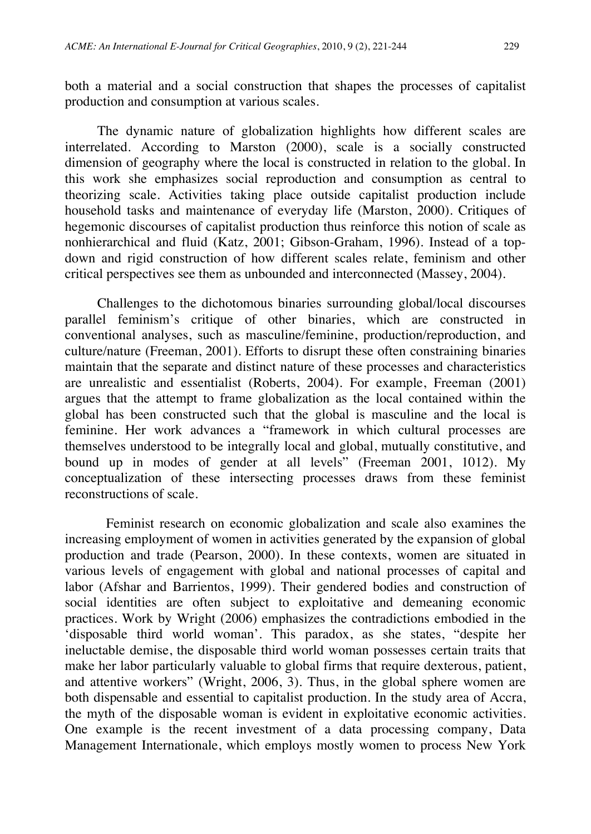both a material and a social construction that shapes the processes of capitalist production and consumption at various scales.

The dynamic nature of globalization highlights how different scales are interrelated. According to Marston (2000), scale is a socially constructed dimension of geography where the local is constructed in relation to the global. In this work she emphasizes social reproduction and consumption as central to theorizing scale. Activities taking place outside capitalist production include household tasks and maintenance of everyday life (Marston, 2000). Critiques of hegemonic discourses of capitalist production thus reinforce this notion of scale as nonhierarchical and fluid (Katz, 2001; Gibson-Graham, 1996). Instead of a topdown and rigid construction of how different scales relate, feminism and other critical perspectives see them as unbounded and interconnected (Massey, 2004).

Challenges to the dichotomous binaries surrounding global/local discourses parallel feminism's critique of other binaries, which are constructed in conventional analyses, such as masculine/feminine, production/reproduction, and culture/nature (Freeman, 2001). Efforts to disrupt these often constraining binaries maintain that the separate and distinct nature of these processes and characteristics are unrealistic and essentialist (Roberts, 2004). For example, Freeman (2001) argues that the attempt to frame globalization as the local contained within the global has been constructed such that the global is masculine and the local is feminine. Her work advances a "framework in which cultural processes are themselves understood to be integrally local and global, mutually constitutive, and bound up in modes of gender at all levels" (Freeman 2001, 1012). My conceptualization of these intersecting processes draws from these feminist reconstructions of scale.

Feminist research on economic globalization and scale also examines the increasing employment of women in activities generated by the expansion of global production and trade (Pearson, 2000). In these contexts, women are situated in various levels of engagement with global and national processes of capital and labor (Afshar and Barrientos, 1999). Their gendered bodies and construction of social identities are often subject to exploitative and demeaning economic practices. Work by Wright (2006) emphasizes the contradictions embodied in the 'disposable third world woman'. This paradox, as she states, "despite her ineluctable demise, the disposable third world woman possesses certain traits that make her labor particularly valuable to global firms that require dexterous, patient, and attentive workers" (Wright, 2006, 3). Thus, in the global sphere women are both dispensable and essential to capitalist production. In the study area of Accra, the myth of the disposable woman is evident in exploitative economic activities. One example is the recent investment of a data processing company, Data Management Internationale, which employs mostly women to process New York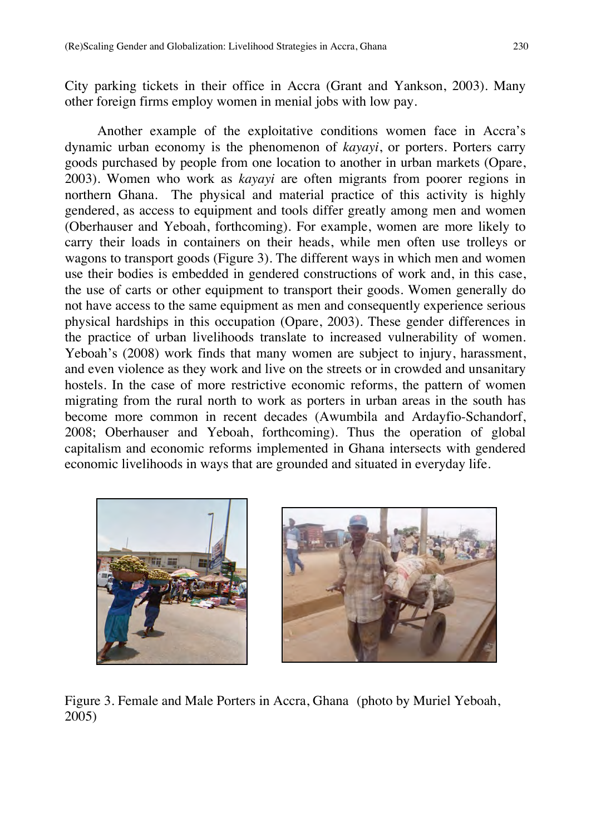City parking tickets in their office in Accra (Grant and Yankson, 2003). Many other foreign firms employ women in menial jobs with low pay.

Another example of the exploitative conditions women face in Accra's dynamic urban economy is the phenomenon of *kayayi*, or porters. Porters carry goods purchased by people from one location to another in urban markets (Opare, 2003). Women who work as *kayayi* are often migrants from poorer regions in northern Ghana. The physical and material practice of this activity is highly gendered, as access to equipment and tools differ greatly among men and women (Oberhauser and Yeboah, forthcoming). For example, women are more likely to carry their loads in containers on their heads, while men often use trolleys or wagons to transport goods (Figure 3). The different ways in which men and women use their bodies is embedded in gendered constructions of work and, in this case, the use of carts or other equipment to transport their goods. Women generally do not have access to the same equipment as men and consequently experience serious physical hardships in this occupation (Opare, 2003). These gender differences in the practice of urban livelihoods translate to increased vulnerability of women. Yeboah's (2008) work finds that many women are subject to injury, harassment, and even violence as they work and live on the streets or in crowded and unsanitary hostels. In the case of more restrictive economic reforms, the pattern of women migrating from the rural north to work as porters in urban areas in the south has become more common in recent decades (Awumbila and Ardayfio-Schandorf, 2008; Oberhauser and Yeboah, forthcoming). Thus the operation of global capitalism and economic reforms implemented in Ghana intersects with gendered economic livelihoods in ways that are grounded and situated in everyday life.





Figure 3. Female and Male Porters in Accra, Ghana (photo by Muriel Yeboah, 2005)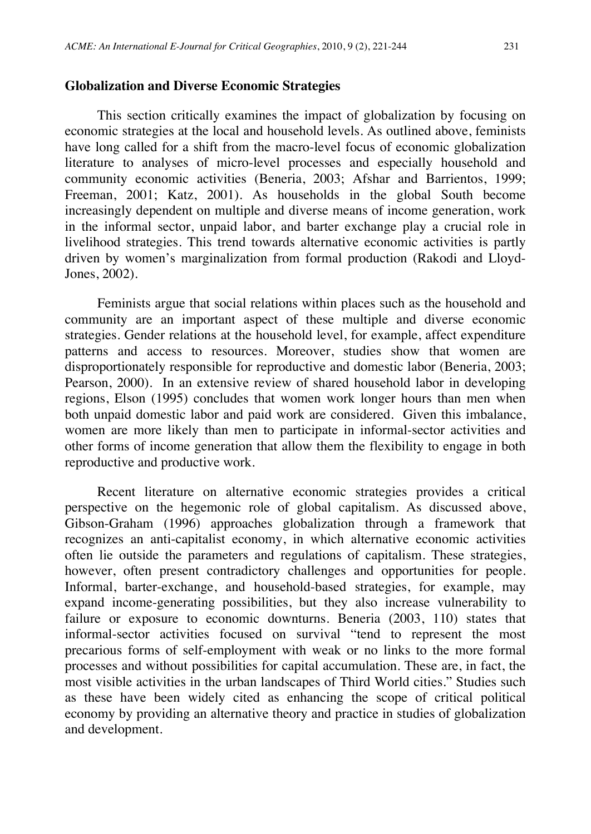#### **Globalization and Diverse Economic Strategies**

This section critically examines the impact of globalization by focusing on economic strategies at the local and household levels. As outlined above, feminists have long called for a shift from the macro-level focus of economic globalization literature to analyses of micro-level processes and especially household and community economic activities (Beneria, 2003; Afshar and Barrientos, 1999; Freeman, 2001; Katz, 2001). As households in the global South become increasingly dependent on multiple and diverse means of income generation, work in the informal sector, unpaid labor, and barter exchange play a crucial role in livelihood strategies. This trend towards alternative economic activities is partly driven by women's marginalization from formal production (Rakodi and Lloyd-Jones, 2002).

Feminists argue that social relations within places such as the household and community are an important aspect of these multiple and diverse economic strategies. Gender relations at the household level, for example, affect expenditure patterns and access to resources. Moreover, studies show that women are disproportionately responsible for reproductive and domestic labor (Beneria, 2003; Pearson, 2000). In an extensive review of shared household labor in developing regions, Elson (1995) concludes that women work longer hours than men when both unpaid domestic labor and paid work are considered. Given this imbalance, women are more likely than men to participate in informal-sector activities and other forms of income generation that allow them the flexibility to engage in both reproductive and productive work.

Recent literature on alternative economic strategies provides a critical perspective on the hegemonic role of global capitalism. As discussed above, Gibson-Graham (1996) approaches globalization through a framework that recognizes an anti-capitalist economy, in which alternative economic activities often lie outside the parameters and regulations of capitalism. These strategies, however, often present contradictory challenges and opportunities for people. Informal, barter-exchange, and household-based strategies, for example, may expand income-generating possibilities, but they also increase vulnerability to failure or exposure to economic downturns. Beneria (2003, 110) states that informal-sector activities focused on survival "tend to represent the most precarious forms of self-employment with weak or no links to the more formal processes and without possibilities for capital accumulation. These are, in fact, the most visible activities in the urban landscapes of Third World cities." Studies such as these have been widely cited as enhancing the scope of critical political economy by providing an alternative theory and practice in studies of globalization and development.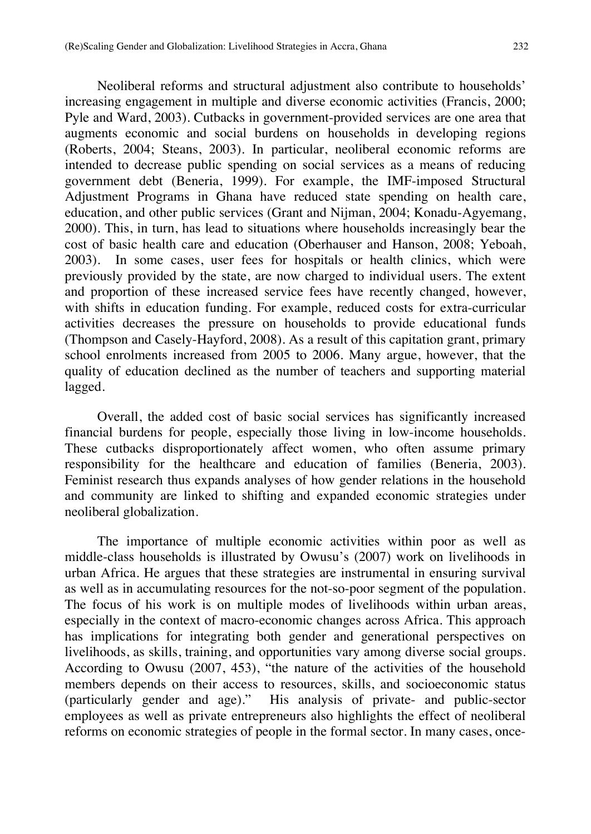Neoliberal reforms and structural adjustment also contribute to households' increasing engagement in multiple and diverse economic activities (Francis, 2000; Pyle and Ward, 2003). Cutbacks in government-provided services are one area that augments economic and social burdens on households in developing regions (Roberts, 2004; Steans, 2003). In particular, neoliberal economic reforms are intended to decrease public spending on social services as a means of reducing government debt (Beneria, 1999). For example, the IMF-imposed Structural Adjustment Programs in Ghana have reduced state spending on health care, education, and other public services (Grant and Nijman, 2004; Konadu-Agyemang, 2000). This, in turn, has lead to situations where households increasingly bear the cost of basic health care and education (Oberhauser and Hanson, 2008; Yeboah, 2003). In some cases, user fees for hospitals or health clinics, which were previously provided by the state, are now charged to individual users. The extent and proportion of these increased service fees have recently changed, however, with shifts in education funding. For example, reduced costs for extra-curricular activities decreases the pressure on households to provide educational funds (Thompson and Casely-Hayford, 2008). As a result of this capitation grant, primary school enrolments increased from 2005 to 2006. Many argue, however, that the quality of education declined as the number of teachers and supporting material lagged.

Overall, the added cost of basic social services has significantly increased financial burdens for people, especially those living in low-income households. These cutbacks disproportionately affect women, who often assume primary responsibility for the healthcare and education of families (Beneria, 2003). Feminist research thus expands analyses of how gender relations in the household and community are linked to shifting and expanded economic strategies under neoliberal globalization.

The importance of multiple economic activities within poor as well as middle-class households is illustrated by Owusu's (2007) work on livelihoods in urban Africa. He argues that these strategies are instrumental in ensuring survival as well as in accumulating resources for the not-so-poor segment of the population. The focus of his work is on multiple modes of livelihoods within urban areas, especially in the context of macro-economic changes across Africa. This approach has implications for integrating both gender and generational perspectives on livelihoods, as skills, training, and opportunities vary among diverse social groups. According to Owusu (2007, 453), "the nature of the activities of the household members depends on their access to resources, skills, and socioeconomic status (particularly gender and age)." His analysis of private- and public-sector employees as well as private entrepreneurs also highlights the effect of neoliberal reforms on economic strategies of people in the formal sector. In many cases, once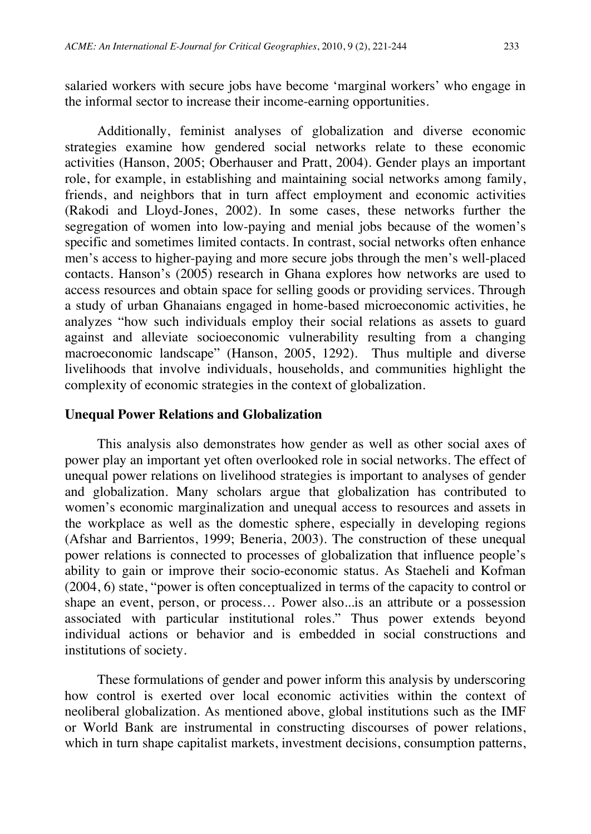salaried workers with secure jobs have become 'marginal workers' who engage in the informal sector to increase their income-earning opportunities.

Additionally, feminist analyses of globalization and diverse economic strategies examine how gendered social networks relate to these economic activities (Hanson, 2005; Oberhauser and Pratt, 2004). Gender plays an important role, for example, in establishing and maintaining social networks among family, friends, and neighbors that in turn affect employment and economic activities (Rakodi and Lloyd-Jones, 2002). In some cases, these networks further the segregation of women into low-paying and menial jobs because of the women's specific and sometimes limited contacts. In contrast, social networks often enhance men's access to higher-paying and more secure jobs through the men's well-placed contacts. Hanson's (2005) research in Ghana explores how networks are used to access resources and obtain space for selling goods or providing services. Through a study of urban Ghanaians engaged in home-based microeconomic activities, he analyzes "how such individuals employ their social relations as assets to guard against and alleviate socioeconomic vulnerability resulting from a changing macroeconomic landscape" (Hanson, 2005, 1292). Thus multiple and diverse livelihoods that involve individuals, households, and communities highlight the complexity of economic strategies in the context of globalization.

#### **Unequal Power Relations and Globalization**

This analysis also demonstrates how gender as well as other social axes of power play an important yet often overlooked role in social networks. The effect of unequal power relations on livelihood strategies is important to analyses of gender and globalization. Many scholars argue that globalization has contributed to women's economic marginalization and unequal access to resources and assets in the workplace as well as the domestic sphere, especially in developing regions (Afshar and Barrientos, 1999; Beneria, 2003). The construction of these unequal power relations is connected to processes of globalization that influence people's ability to gain or improve their socio-economic status. As Staeheli and Kofman (2004, 6) state, "power is often conceptualized in terms of the capacity to control or shape an event, person, or process… Power also...is an attribute or a possession associated with particular institutional roles." Thus power extends beyond individual actions or behavior and is embedded in social constructions and institutions of society.

These formulations of gender and power inform this analysis by underscoring how control is exerted over local economic activities within the context of neoliberal globalization. As mentioned above, global institutions such as the IMF or World Bank are instrumental in constructing discourses of power relations, which in turn shape capitalist markets, investment decisions, consumption patterns,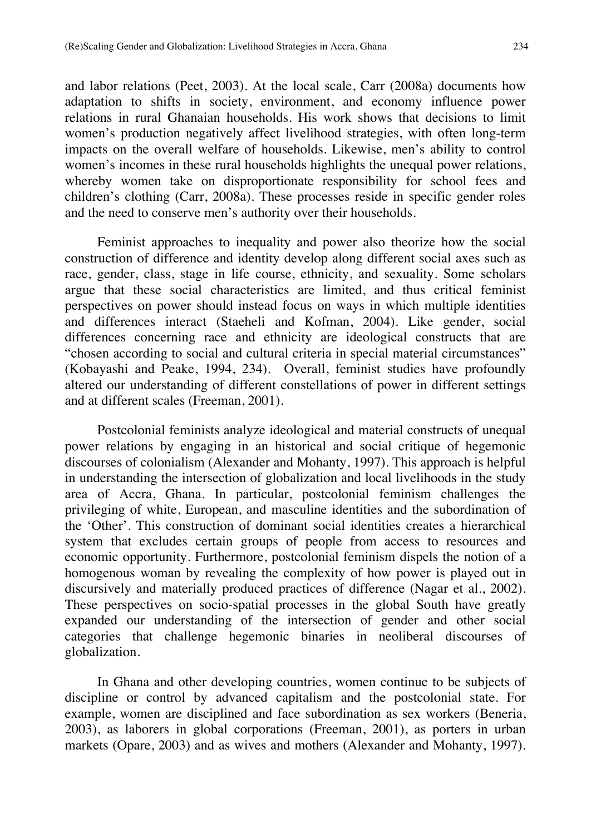and labor relations (Peet, 2003). At the local scale, Carr (2008a) documents how adaptation to shifts in society, environment, and economy influence power relations in rural Ghanaian households. His work shows that decisions to limit women's production negatively affect livelihood strategies, with often long-term impacts on the overall welfare of households. Likewise, men's ability to control women's incomes in these rural households highlights the unequal power relations, whereby women take on disproportionate responsibility for school fees and children's clothing (Carr, 2008a). These processes reside in specific gender roles and the need to conserve men's authority over their households.

Feminist approaches to inequality and power also theorize how the social construction of difference and identity develop along different social axes such as race, gender, class, stage in life course, ethnicity, and sexuality. Some scholars argue that these social characteristics are limited, and thus critical feminist perspectives on power should instead focus on ways in which multiple identities and differences interact (Staeheli and Kofman, 2004). Like gender, social differences concerning race and ethnicity are ideological constructs that are "chosen according to social and cultural criteria in special material circumstances" (Kobayashi and Peake, 1994, 234). Overall, feminist studies have profoundly altered our understanding of different constellations of power in different settings and at different scales (Freeman, 2001).

Postcolonial feminists analyze ideological and material constructs of unequal power relations by engaging in an historical and social critique of hegemonic discourses of colonialism (Alexander and Mohanty, 1997). This approach is helpful in understanding the intersection of globalization and local livelihoods in the study area of Accra, Ghana. In particular, postcolonial feminism challenges the privileging of white, European, and masculine identities and the subordination of the 'Other'. This construction of dominant social identities creates a hierarchical system that excludes certain groups of people from access to resources and economic opportunity. Furthermore, postcolonial feminism dispels the notion of a homogenous woman by revealing the complexity of how power is played out in discursively and materially produced practices of difference (Nagar et al., 2002). These perspectives on socio-spatial processes in the global South have greatly expanded our understanding of the intersection of gender and other social categories that challenge hegemonic binaries in neoliberal discourses of globalization.

In Ghana and other developing countries, women continue to be subjects of discipline or control by advanced capitalism and the postcolonial state. For example, women are disciplined and face subordination as sex workers (Beneria, 2003), as laborers in global corporations (Freeman, 2001), as porters in urban markets (Opare, 2003) and as wives and mothers (Alexander and Mohanty, 1997).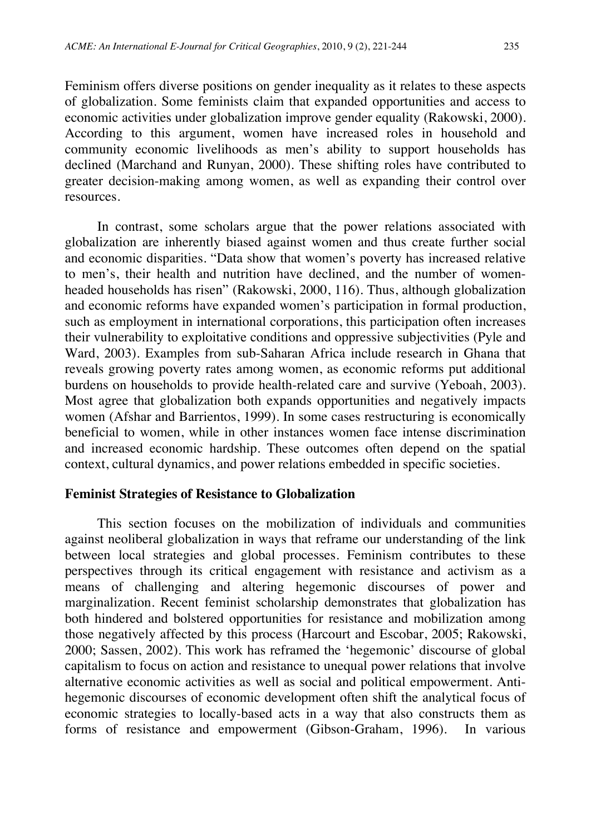Feminism offers diverse positions on gender inequality as it relates to these aspects of globalization. Some feminists claim that expanded opportunities and access to economic activities under globalization improve gender equality (Rakowski, 2000). According to this argument, women have increased roles in household and community economic livelihoods as men's ability to support households has declined (Marchand and Runyan, 2000). These shifting roles have contributed to greater decision-making among women, as well as expanding their control over resources.

In contrast, some scholars argue that the power relations associated with globalization are inherently biased against women and thus create further social and economic disparities. "Data show that women's poverty has increased relative to men's, their health and nutrition have declined, and the number of womenheaded households has risen" (Rakowski, 2000, 116). Thus, although globalization and economic reforms have expanded women's participation in formal production, such as employment in international corporations, this participation often increases their vulnerability to exploitative conditions and oppressive subjectivities (Pyle and Ward, 2003). Examples from sub-Saharan Africa include research in Ghana that reveals growing poverty rates among women, as economic reforms put additional burdens on households to provide health-related care and survive (Yeboah, 2003). Most agree that globalization both expands opportunities and negatively impacts women (Afshar and Barrientos, 1999). In some cases restructuring is economically beneficial to women, while in other instances women face intense discrimination and increased economic hardship. These outcomes often depend on the spatial context, cultural dynamics, and power relations embedded in specific societies.

#### **Feminist Strategies of Resistance to Globalization**

This section focuses on the mobilization of individuals and communities against neoliberal globalization in ways that reframe our understanding of the link between local strategies and global processes. Feminism contributes to these perspectives through its critical engagement with resistance and activism as a means of challenging and altering hegemonic discourses of power and marginalization. Recent feminist scholarship demonstrates that globalization has both hindered and bolstered opportunities for resistance and mobilization among those negatively affected by this process (Harcourt and Escobar, 2005; Rakowski, 2000; Sassen, 2002). This work has reframed the 'hegemonic' discourse of global capitalism to focus on action and resistance to unequal power relations that involve alternative economic activities as well as social and political empowerment. Antihegemonic discourses of economic development often shift the analytical focus of economic strategies to locally-based acts in a way that also constructs them as forms of resistance and empowerment (Gibson-Graham, 1996). In various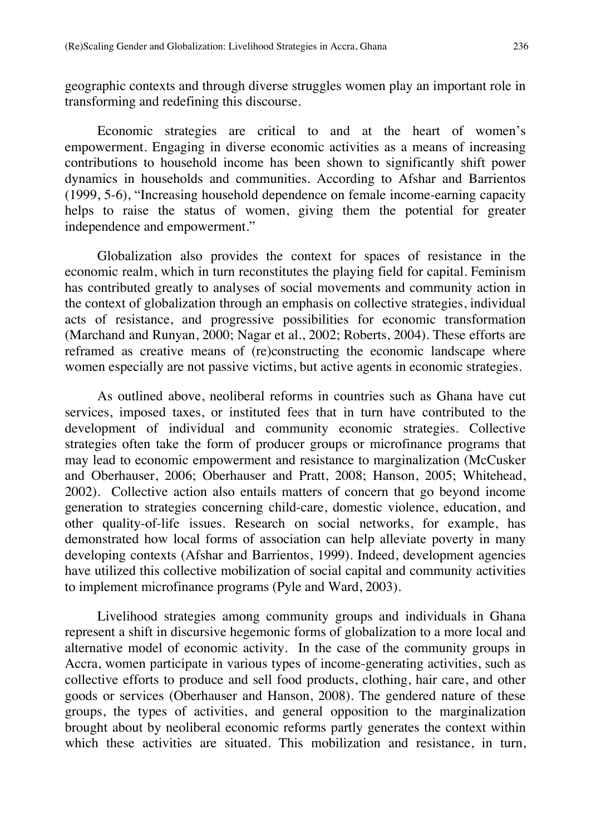geographic contexts and through diverse struggles women play an important role in transforming and redefining this discourse.

Economic strategies are critical to and at the heart of women's empowerment. Engaging in diverse economic activities as a means of increasing contributions to household income has been shown to significantly shift power dynamics in households and communities. According to Afshar and Barrientos (1999, 5-6), "Increasing household dependence on female income-earning capacity helps to raise the status of women, giving them the potential for greater independence and empowerment."

Globalization also provides the context for spaces of resistance in the economic realm, which in turn reconstitutes the playing field for capital. Feminism has contributed greatly to analyses of social movements and community action in the context of globalization through an emphasis on collective strategies, individual acts of resistance, and progressive possibilities for economic transformation (Marchand and Runyan, 2000; Nagar et al., 2002; Roberts, 2004). These efforts are reframed as creative means of (re)constructing the economic landscape where women especially are not passive victims, but active agents in economic strategies.

As outlined above, neoliberal reforms in countries such as Ghana have cut services, imposed taxes, or instituted fees that in turn have contributed to the development of individual and community economic strategies. Collective strategies often take the form of producer groups or microfinance programs that may lead to economic empowerment and resistance to marginalization (McCusker and Oberhauser, 2006; Oberhauser and Pratt, 2008; Hanson, 2005; Whitehead, 2002). Collective action also entails matters of concern that go beyond income generation to strategies concerning child-care, domestic violence, education, and other quality-of-life issues. Research on social networks, for example, has demonstrated how local forms of association can help alleviate poverty in many developing contexts (Afshar and Barrientos, 1999). Indeed, development agencies have utilized this collective mobilization of social capital and community activities to implement microfinance programs (Pyle and Ward, 2003).

Livelihood strategies among community groups and individuals in Ghana represent a shift in discursive hegemonic forms of globalization to a more local and alternative model of economic activity. In the case of the community groups in Accra, women participate in various types of income-generating activities, such as collective efforts to produce and sell food products, clothing, hair care, and other goods or services (Oberhauser and Hanson, 2008). The gendered nature of these groups, the types of activities, and general opposition to the marginalization brought about by neoliberal economic reforms partly generates the context within which these activities are situated. This mobilization and resistance, in turn,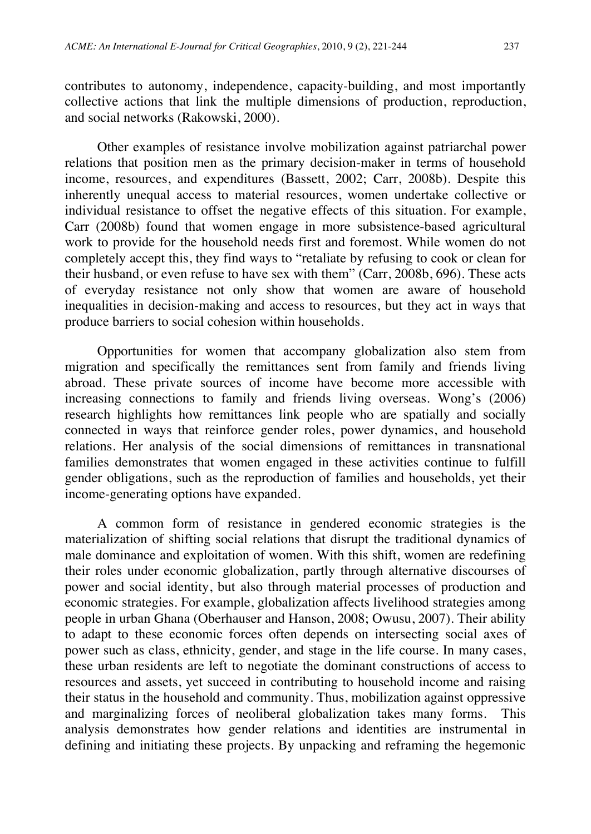contributes to autonomy, independence, capacity-building, and most importantly collective actions that link the multiple dimensions of production, reproduction, and social networks (Rakowski, 2000).

Other examples of resistance involve mobilization against patriarchal power relations that position men as the primary decision-maker in terms of household income, resources, and expenditures (Bassett, 2002; Carr, 2008b). Despite this inherently unequal access to material resources, women undertake collective or individual resistance to offset the negative effects of this situation. For example, Carr (2008b) found that women engage in more subsistence-based agricultural work to provide for the household needs first and foremost. While women do not completely accept this, they find ways to "retaliate by refusing to cook or clean for their husband, or even refuse to have sex with them" (Carr, 2008b, 696). These acts of everyday resistance not only show that women are aware of household inequalities in decision-making and access to resources, but they act in ways that produce barriers to social cohesion within households.

Opportunities for women that accompany globalization also stem from migration and specifically the remittances sent from family and friends living abroad. These private sources of income have become more accessible with increasing connections to family and friends living overseas. Wong's (2006) research highlights how remittances link people who are spatially and socially connected in ways that reinforce gender roles, power dynamics, and household relations. Her analysis of the social dimensions of remittances in transnational families demonstrates that women engaged in these activities continue to fulfill gender obligations, such as the reproduction of families and households, yet their income-generating options have expanded.

A common form of resistance in gendered economic strategies is the materialization of shifting social relations that disrupt the traditional dynamics of male dominance and exploitation of women. With this shift, women are redefining their roles under economic globalization, partly through alternative discourses of power and social identity, but also through material processes of production and economic strategies. For example, globalization affects livelihood strategies among people in urban Ghana (Oberhauser and Hanson, 2008; Owusu, 2007). Their ability to adapt to these economic forces often depends on intersecting social axes of power such as class, ethnicity, gender, and stage in the life course. In many cases, these urban residents are left to negotiate the dominant constructions of access to resources and assets, yet succeed in contributing to household income and raising their status in the household and community. Thus, mobilization against oppressive and marginalizing forces of neoliberal globalization takes many forms. This analysis demonstrates how gender relations and identities are instrumental in defining and initiating these projects. By unpacking and reframing the hegemonic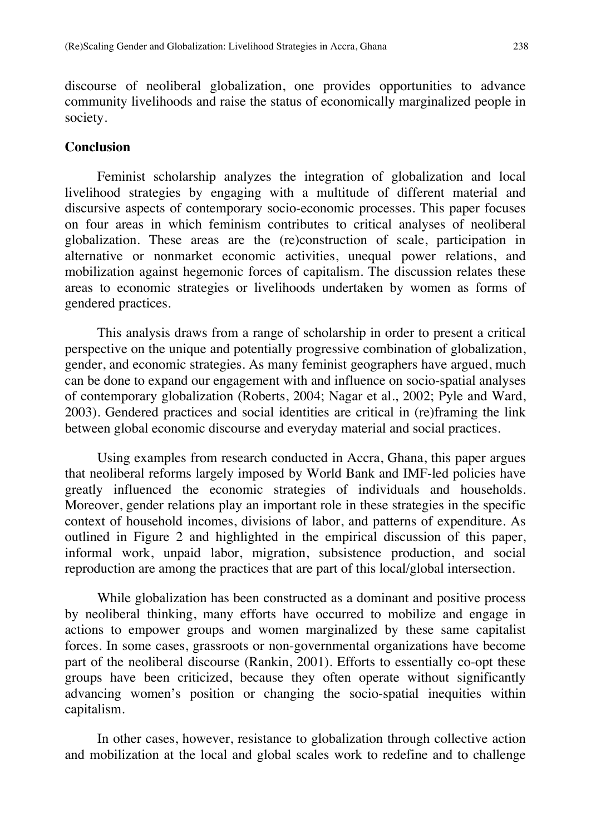discourse of neoliberal globalization, one provides opportunities to advance community livelihoods and raise the status of economically marginalized people in society.

#### **Conclusion**

Feminist scholarship analyzes the integration of globalization and local livelihood strategies by engaging with a multitude of different material and discursive aspects of contemporary socio-economic processes. This paper focuses on four areas in which feminism contributes to critical analyses of neoliberal globalization. These areas are the (re)construction of scale, participation in alternative or nonmarket economic activities, unequal power relations, and mobilization against hegemonic forces of capitalism. The discussion relates these areas to economic strategies or livelihoods undertaken by women as forms of gendered practices.

This analysis draws from a range of scholarship in order to present a critical perspective on the unique and potentially progressive combination of globalization, gender, and economic strategies. As many feminist geographers have argued, much can be done to expand our engagement with and influence on socio-spatial analyses of contemporary globalization (Roberts, 2004; Nagar et al., 2002; Pyle and Ward, 2003). Gendered practices and social identities are critical in (re)framing the link between global economic discourse and everyday material and social practices.

Using examples from research conducted in Accra, Ghana, this paper argues that neoliberal reforms largely imposed by World Bank and IMF-led policies have greatly influenced the economic strategies of individuals and households. Moreover, gender relations play an important role in these strategies in the specific context of household incomes, divisions of labor, and patterns of expenditure. As outlined in Figure 2 and highlighted in the empirical discussion of this paper, informal work, unpaid labor, migration, subsistence production, and social reproduction are among the practices that are part of this local/global intersection.

While globalization has been constructed as a dominant and positive process by neoliberal thinking, many efforts have occurred to mobilize and engage in actions to empower groups and women marginalized by these same capitalist forces. In some cases, grassroots or non-governmental organizations have become part of the neoliberal discourse (Rankin, 2001). Efforts to essentially co-opt these groups have been criticized, because they often operate without significantly advancing women's position or changing the socio-spatial inequities within capitalism.

In other cases, however, resistance to globalization through collective action and mobilization at the local and global scales work to redefine and to challenge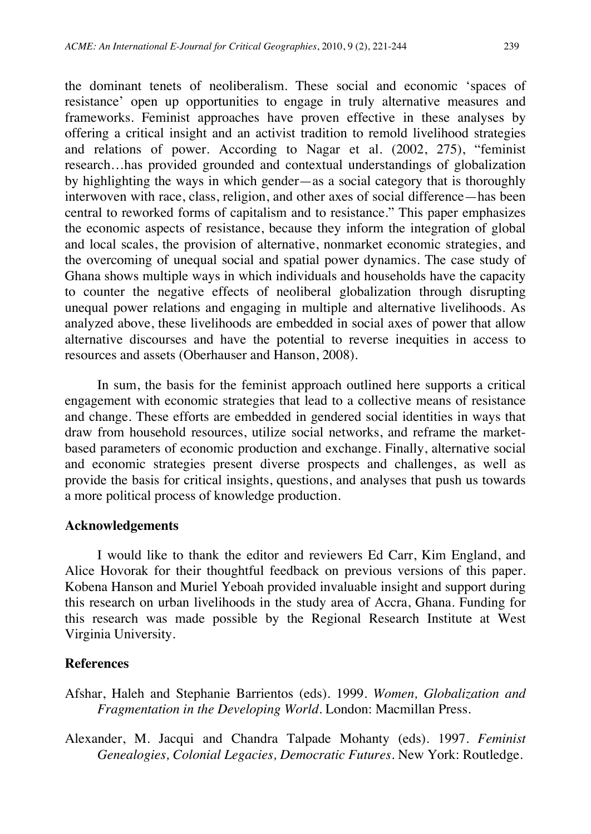the dominant tenets of neoliberalism. These social and economic 'spaces of resistance' open up opportunities to engage in truly alternative measures and frameworks. Feminist approaches have proven effective in these analyses by offering a critical insight and an activist tradition to remold livelihood strategies and relations of power. According to Nagar et al. (2002, 275), "feminist research…has provided grounded and contextual understandings of globalization by highlighting the ways in which gender—as a social category that is thoroughly interwoven with race, class, religion, and other axes of social difference—has been central to reworked forms of capitalism and to resistance." This paper emphasizes the economic aspects of resistance, because they inform the integration of global and local scales, the provision of alternative, nonmarket economic strategies, and the overcoming of unequal social and spatial power dynamics. The case study of Ghana shows multiple ways in which individuals and households have the capacity to counter the negative effects of neoliberal globalization through disrupting unequal power relations and engaging in multiple and alternative livelihoods. As analyzed above, these livelihoods are embedded in social axes of power that allow alternative discourses and have the potential to reverse inequities in access to resources and assets (Oberhauser and Hanson, 2008).

In sum, the basis for the feminist approach outlined here supports a critical engagement with economic strategies that lead to a collective means of resistance and change. These efforts are embedded in gendered social identities in ways that draw from household resources, utilize social networks, and reframe the marketbased parameters of economic production and exchange. Finally, alternative social and economic strategies present diverse prospects and challenges, as well as provide the basis for critical insights, questions, and analyses that push us towards a more political process of knowledge production.

#### **Acknowledgements**

I would like to thank the editor and reviewers Ed Carr, Kim England, and Alice Hovorak for their thoughtful feedback on previous versions of this paper. Kobena Hanson and Muriel Yeboah provided invaluable insight and support during this research on urban livelihoods in the study area of Accra, Ghana. Funding for this research was made possible by the Regional Research Institute at West Virginia University.

#### **References**

- Afshar, Haleh and Stephanie Barrientos (eds). 1999. *Women, Globalization and Fragmentation in the Developing World*. London: Macmillan Press.
- Alexander, M. Jacqui and Chandra Talpade Mohanty (eds). 1997. *Feminist Genealogies, Colonial Legacies, Democratic Futures*. New York: Routledge.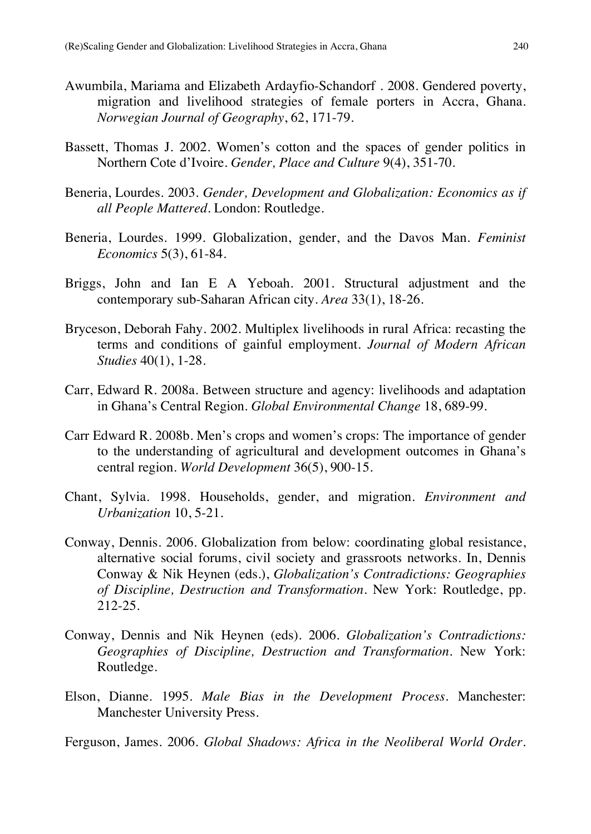- Awumbila, Mariama and Elizabeth Ardayfio-Schandorf . 2008. Gendered poverty, migration and livelihood strategies of female porters in Accra, Ghana. *Norwegian Journal of Geography*, 62, 171-79.
- Bassett, Thomas J. 2002. Women's cotton and the spaces of gender politics in Northern Cote d'Ivoire. *Gender, Place and Culture* 9(4), 351-70.
- Beneria, Lourdes. 2003. *Gender, Development and Globalization: Economics as if all People Mattered*. London: Routledge.
- Beneria, Lourdes. 1999. Globalization, gender, and the Davos Man. *Feminist Economics* 5(3), 61-84.
- Briggs, John and Ian E A Yeboah. 2001. Structural adjustment and the contemporary sub-Saharan African city. *Area* 33(1), 18-26.
- Bryceson, Deborah Fahy. 2002. Multiplex livelihoods in rural Africa: recasting the terms and conditions of gainful employment. *Journal of Modern African Studies* 40(1), 1-28.
- Carr, Edward R. 2008a. Between structure and agency: livelihoods and adaptation in Ghana's Central Region. *Global Environmental Change* 18, 689-99.
- Carr Edward R. 2008b. Men's crops and women's crops: The importance of gender to the understanding of agricultural and development outcomes in Ghana's central region. *World Development* 36(5), 900-15.
- Chant, Sylvia. 1998. Households, gender, and migration. *Environment and Urbanization* 10, 5-21.
- Conway, Dennis. 2006. Globalization from below: coordinating global resistance, alternative social forums, civil society and grassroots networks. In, Dennis Conway & Nik Heynen (eds.), *Globalization's Contradictions: Geographies of Discipline, Destruction and Transformation*. New York: Routledge, pp. 212-25.
- Conway, Dennis and Nik Heynen (eds). 2006. *Globalization's Contradictions: Geographies of Discipline, Destruction and Transformation*. New York: Routledge.
- Elson, Dianne. 1995. *Male Bias in the Development Process*. Manchester: Manchester University Press.
- Ferguson, James. 2006. *Global Shadows: Africa in the Neoliberal World Order*.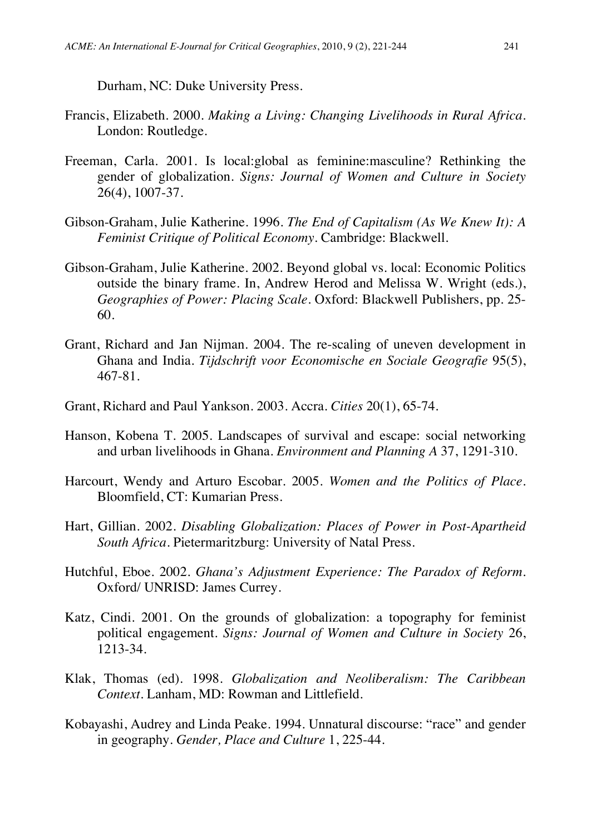Durham, NC: Duke University Press.

- Francis, Elizabeth. 2000. *Making a Living: Changing Livelihoods in Rural Africa*. London: Routledge.
- Freeman, Carla. 2001. Is local:global as feminine:masculine? Rethinking the gender of globalization. *Signs: Journal of Women and Culture in Society* 26(4), 1007-37.
- Gibson-Graham, Julie Katherine. 1996. *The End of Capitalism (As We Knew It): A Feminist Critique of Political Economy*. Cambridge: Blackwell.
- Gibson-Graham, Julie Katherine. 2002. Beyond global vs. local: Economic Politics outside the binary frame. In, Andrew Herod and Melissa W. Wright (eds.), *Geographies of Power: Placing Scale*. Oxford: Blackwell Publishers, pp. 25- 60.
- Grant, Richard and Jan Nijman. 2004. The re-scaling of uneven development in Ghana and India. *Tijdschrift voor Economische en Sociale Geografie* 95(5), 467-81.
- Grant, Richard and Paul Yankson. 2003. Accra. *Cities* 20(1), 65-74.
- Hanson, Kobena T. 2005. Landscapes of survival and escape: social networking and urban livelihoods in Ghana. *Environment and Planning A* 37, 1291-310.
- Harcourt, Wendy and Arturo Escobar. 2005. *Women and the Politics of Place*. Bloomfield, CT: Kumarian Press.
- Hart, Gillian. 2002. *Disabling Globalization: Places of Power in Post-Apartheid South Africa*. Pietermaritzburg: University of Natal Press.
- Hutchful, Eboe. 2002. *Ghana's Adjustment Experience: The Paradox of Reform*. Oxford/ UNRISD: James Currey.
- Katz, Cindi. 2001. On the grounds of globalization: a topography for feminist political engagement. *Signs: Journal of Women and Culture in Society* 26, 1213-34.
- Klak, Thomas (ed). 1998. *Globalization and Neoliberalism: The Caribbean Context*. Lanham, MD: Rowman and Littlefield.
- Kobayashi, Audrey and Linda Peake. 1994. Unnatural discourse: "race" and gender in geography. *Gender, Place and Culture* 1, 225-44.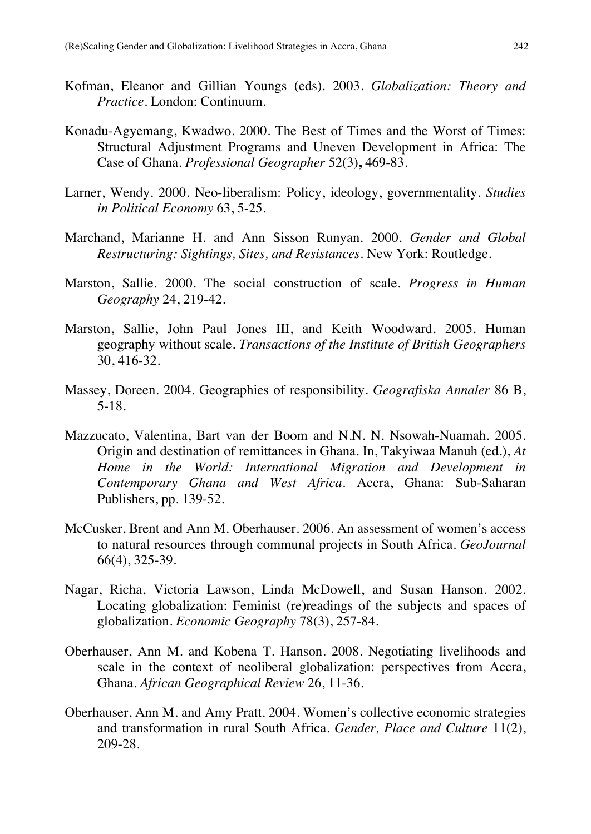- Kofman, Eleanor and Gillian Youngs (eds). 2003. *Globalization: Theory and Practice*. London: Continuum.
- Konadu-Agyemang, Kwadwo. 2000. The Best of Times and the Worst of Times: Structural Adjustment Programs and Uneven Development in Africa: The Case of Ghana. *Professional Geographer* 52(3)**,** 469-83.
- Larner, Wendy. 2000. Neo-liberalism: Policy, ideology, governmentality. *Studies in Political Economy* 63, 5-25.
- Marchand, Marianne H. and Ann Sisson Runyan. 2000. *Gender and Global Restructuring: Sightings, Sites, and Resistances*. New York: Routledge.
- Marston, Sallie. 2000. The social construction of scale. *Progress in Human Geography* 24, 219-42.
- Marston, Sallie, John Paul Jones III, and Keith Woodward. 2005. Human geography without scale. *Transactions of the Institute of British Geographers* 30, 416-32.
- Massey, Doreen. 2004. Geographies of responsibility. *Geografiska Annaler* 86 B, 5-18.
- Mazzucato, Valentina, Bart van der Boom and N.N. N. Nsowah-Nuamah. 2005. Origin and destination of remittances in Ghana. In, Takyiwaa Manuh (ed.), *At Home in the World: International Migration and Development in Contemporary Ghana and West Africa*. Accra, Ghana: Sub-Saharan Publishers, pp. 139-52.
- McCusker, Brent and Ann M. Oberhauser. 2006. An assessment of women's access to natural resources through communal projects in South Africa. *GeoJournal*  66(4), 325-39.
- Nagar, Richa, Victoria Lawson, Linda McDowell, and Susan Hanson. 2002. Locating globalization: Feminist (re)readings of the subjects and spaces of globalization. *Economic Geography* 78(3), 257-84.
- Oberhauser, Ann M. and Kobena T. Hanson. 2008. Negotiating livelihoods and scale in the context of neoliberal globalization: perspectives from Accra, Ghana. *African Geographical Review* 26, 11-36.
- Oberhauser, Ann M. and Amy Pratt. 2004. Women's collective economic strategies and transformation in rural South Africa. *Gender, Place and Culture* 11(2), 209-28.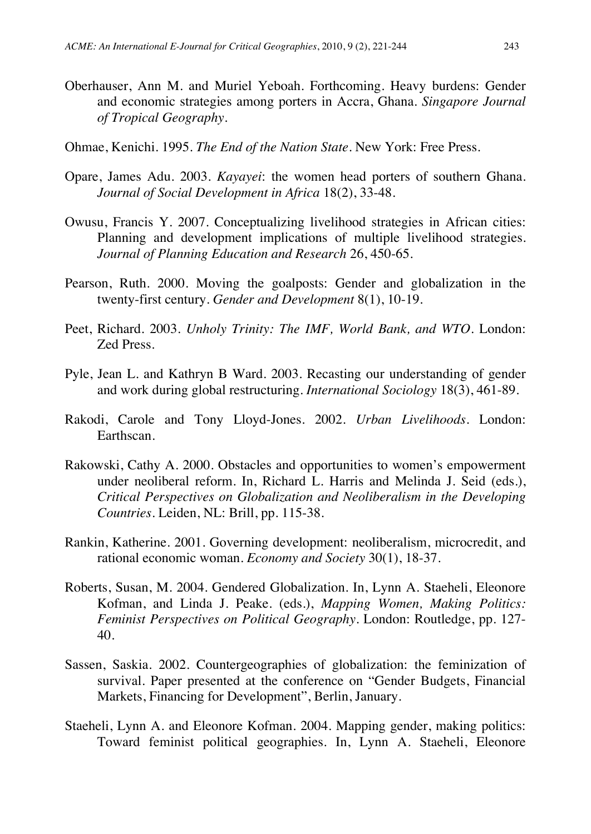- Oberhauser, Ann M. and Muriel Yeboah. Forthcoming. Heavy burdens: Gender and economic strategies among porters in Accra, Ghana. *Singapore Journal of Tropical Geography*.
- Ohmae, Kenichi. 1995. *The End of the Nation State*. New York: Free Press.
- Opare, James Adu. 2003. *Kayayei*: the women head porters of southern Ghana. *Journal of Social Development in Africa* 18(2), 33-48.
- Owusu, Francis Y. 2007. Conceptualizing livelihood strategies in African cities: Planning and development implications of multiple livelihood strategies. *Journal of Planning Education and Research* 26, 450-65.
- Pearson, Ruth. 2000. Moving the goalposts: Gender and globalization in the twenty-first century. *Gender and Development* 8(1), 10-19.
- Peet, Richard. 2003. *Unholy Trinity: The IMF, World Bank, and WTO*. London: Zed Press.
- Pyle, Jean L. and Kathryn B Ward. 2003. Recasting our understanding of gender and work during global restructuring. *International Sociology* 18(3), 461-89.
- Rakodi, Carole and Tony Lloyd-Jones. 2002. *Urban Livelihoods*. London: Earthscan.
- Rakowski, Cathy A. 2000. Obstacles and opportunities to women's empowerment under neoliberal reform. In, Richard L. Harris and Melinda J. Seid (eds.), *Critical Perspectives on Globalization and Neoliberalism in the Developing Countries*. Leiden, NL: Brill, pp. 115-38.
- Rankin, Katherine. 2001. Governing development: neoliberalism, microcredit, and rational economic woman. *Economy and Society* 30(1), 18-37.
- Roberts, Susan, M. 2004. Gendered Globalization. In, Lynn A. Staeheli, Eleonore Kofman, and Linda J. Peake. (eds.), *Mapping Women, Making Politics: Feminist Perspectives on Political Geography*. London: Routledge, pp. 127- 40.
- Sassen, Saskia. 2002. Countergeographies of globalization: the feminization of survival. Paper presented at the conference on "Gender Budgets, Financial Markets, Financing for Development", Berlin, January.
- Staeheli, Lynn A. and Eleonore Kofman. 2004. Mapping gender, making politics: Toward feminist political geographies. In, Lynn A. Staeheli, Eleonore